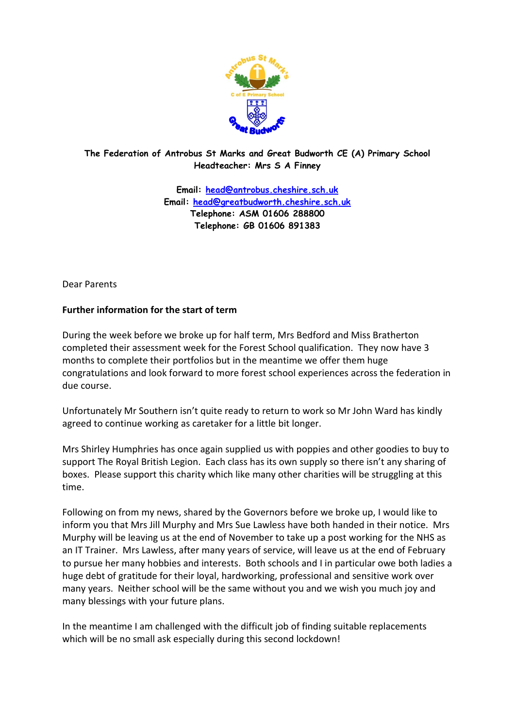

## **The Federation of Antrobus St Marks and Great Budworth CE (A) Primary School Headteacher: Mrs S A Finney**

**Email: [head@antrobus.cheshire.sch.uk](mailto:head@antrobus.cheshire.sch.uk) Email: [head@greatbudworth.cheshire.sch.uk](mailto:head@greatbudworth.cheshire.sch.uk) Telephone: ASM 01606 288800 Telephone: GB 01606 891383**

Dear Parents

## **Further information for the start of term**

During the week before we broke up for half term, Mrs Bedford and Miss Bratherton completed their assessment week for the Forest School qualification. They now have 3 months to complete their portfolios but in the meantime we offer them huge congratulations and look forward to more forest school experiences across the federation in due course.

Unfortunately Mr Southern isn't quite ready to return to work so Mr John Ward has kindly agreed to continue working as caretaker for a little bit longer.

Mrs Shirley Humphries has once again supplied us with poppies and other goodies to buy to support The Royal British Legion. Each class has its own supply so there isn't any sharing of boxes. Please support this charity which like many other charities will be struggling at this time.

Following on from my news, shared by the Governors before we broke up, I would like to inform you that Mrs Jill Murphy and Mrs Sue Lawless have both handed in their notice. Mrs Murphy will be leaving us at the end of November to take up a post working for the NHS as an IT Trainer. Mrs Lawless, after many years of service, will leave us at the end of February to pursue her many hobbies and interests. Both schools and I in particular owe both ladies a huge debt of gratitude for their loyal, hardworking, professional and sensitive work over many years. Neither school will be the same without you and we wish you much joy and many blessings with your future plans.

In the meantime I am challenged with the difficult job of finding suitable replacements which will be no small ask especially during this second lockdown!